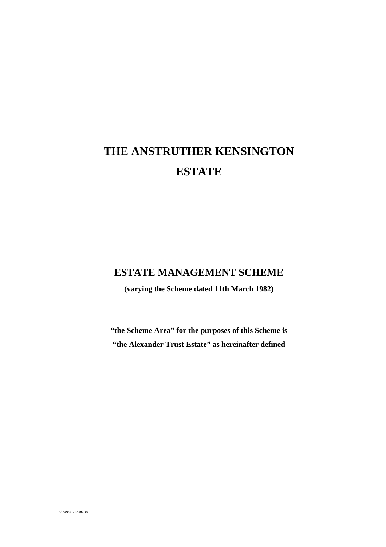# **THE ANSTRUTHER KENSINGTON ESTATE**

### **ESTATE MANAGEMENT SCHEME**

**(varying the Scheme dated 11th March 1982)**

**"the Scheme Area" for the purposes of this Scheme is "the Alexander Trust Estate" as hereinafter defined**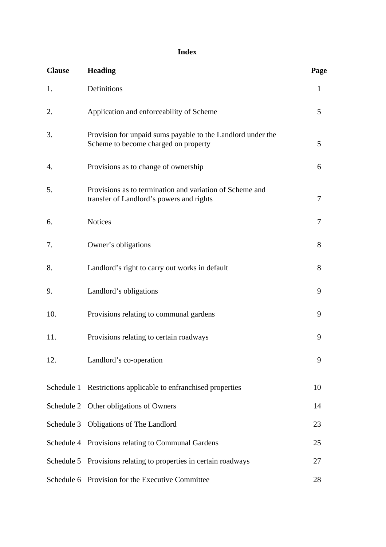### **Index**

| <b>Clause</b> | <b>Heading</b>                                                                                       | Page |
|---------------|------------------------------------------------------------------------------------------------------|------|
| 1.            | Definitions                                                                                          | 1    |
| 2.            | Application and enforceability of Scheme                                                             | 5    |
| 3.            | Provision for unpaid sums payable to the Landlord under the<br>Scheme to become charged on property  | 5    |
| 4.            | Provisions as to change of ownership                                                                 | 6    |
| 5.            | Provisions as to termination and variation of Scheme and<br>transfer of Landlord's powers and rights | 7    |
| 6.            | <b>Notices</b>                                                                                       | 7    |
| 7.            | Owner's obligations                                                                                  | 8    |
| 8.            | Landlord's right to carry out works in default                                                       | 8    |
| 9.            | Landlord's obligations                                                                               | 9    |
| 10.           | Provisions relating to communal gardens                                                              | 9    |
| 11.           | Provisions relating to certain roadways                                                              | 9    |
| 12.           | Landlord's co-operation                                                                              | 9    |
|               | Schedule 1 Restrictions applicable to enfranchised properties                                        | 10   |
|               | Schedule 2 Other obligations of Owners                                                               | 14   |
|               | Schedule 3 Obligations of The Landlord                                                               | 23   |
|               | Schedule 4 Provisions relating to Communal Gardens                                                   | 25   |
|               | Schedule 5 Provisions relating to properties in certain roadways                                     | 27   |
|               | Schedule 6 Provision for the Executive Committee                                                     | 28   |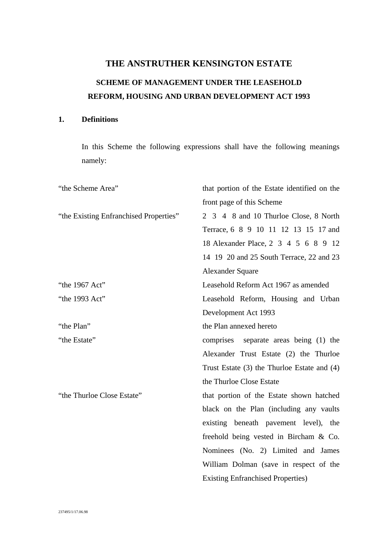## **THE ANSTRUTHER KENSINGTON ESTATE SCHEME OF MANAGEMENT UNDER THE LEASEHOLD REFORM, HOUSING AND URBAN DEVELOPMENT ACT 1993**

### **1. Definitions**

In this Scheme the following expressions shall have the following meanings namely:

| "the Scheme Area"                      | that portion of the Estate identified on the    |
|----------------------------------------|-------------------------------------------------|
|                                        | front page of this Scheme                       |
| "the Existing Enfranchised Properties" | 2 3 4 8 and 10 Thurloe Close, 8 North           |
|                                        | Terrace, 6 8 9 10 11 12 13 15 17 and            |
|                                        | 18 Alexander Place, 2 3 4 5 6 8 9 12            |
|                                        | 14 19 20 and 25 South Terrace, 22 and 23        |
|                                        | <b>Alexander Square</b>                         |
| "the 1967 Act"                         | Leasehold Reform Act 1967 as amended            |
| "the 1993 Act"                         | Leasehold Reform, Housing and Urban             |
|                                        | Development Act 1993                            |
| "the Plan"                             | the Plan annexed hereto                         |
| "the Estate"                           | comprises separate areas being (1) the          |
|                                        | Alexander Trust Estate (2) the Thurloe          |
|                                        | Trust Estate $(3)$ the Thurloe Estate and $(4)$ |
|                                        | the Thurloe Close Estate                        |
| "the Thurloe Close Estate"             | that portion of the Estate shown hatched        |
|                                        | black on the Plan (including any vaults)        |
|                                        | existing beneath pavement level), the           |
|                                        | freehold being vested in Bircham & Co.          |
|                                        | Nominees (No. 2) Limited and James              |
|                                        | William Dolman (save in respect of the          |
|                                        | <b>Existing Enfranchised Properties</b> )       |
|                                        |                                                 |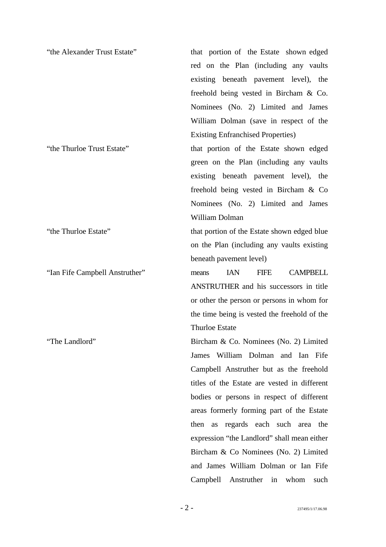| "the Alexander Trust Estate"   | that portion of the Estate shown edged                |
|--------------------------------|-------------------------------------------------------|
|                                | red on the Plan (including any vaults                 |
|                                | existing beneath pavement level), the                 |
|                                | freehold being vested in Bircham & Co.                |
|                                | Nominees (No. 2) Limited and James                    |
|                                | William Dolman (save in respect of the                |
|                                | <b>Existing Enfranchised Properties</b> )             |
| "the Thurloe Trust Estate"     | that portion of the Estate shown edged                |
|                                | green on the Plan (including any vaults               |
|                                | existing beneath pavement level), the                 |
|                                | freehold being vested in Bircham & Co                 |
|                                | Nominees (No. 2) Limited and James                    |
|                                | William Dolman                                        |
| "the Thurloe Estate"           | that portion of the Estate shown edged blue           |
|                                | on the Plan (including any vaults existing            |
|                                | beneath pavement level)                               |
| "Ian Fife Campbell Anstruther" | <b>CAMPBELL</b><br><b>IAN</b><br><b>FIFE</b><br>means |
|                                | ANSTRUTHER and his successors in title                |
|                                | or other the person or persons in whom for            |
|                                | the time being is vested the freehold of the          |
|                                | <b>Thurloe Estate</b>                                 |
| "The Landlord"                 | Bircham & Co. Nominees (No. 2) Limited                |
|                                | James William Dolman and Ian Fife                     |
|                                | Campbell Anstruther but as the freehold               |
|                                | titles of the Estate are vested in different          |
|                                | bodies or persons in respect of different             |
|                                | areas formerly forming part of the Estate             |
|                                | then as regards each such area the                    |
|                                | expression "the Landlord" shall mean either           |
|                                | Bircham & Co Nominees (No. 2) Limited                 |
|                                | and James William Dolman or Ian Fife                  |

Campbell Anstruther in whom such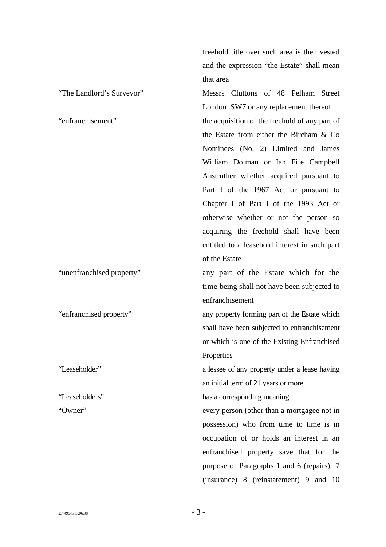freehold title over such area is then vested and the expression "the Estate" shall mean that area

"The Landlord's Surveyor" Messrs Cluttons of 48 Pelham Street London SW7 or any replacement thereof "enfranchisement" the acquisition of the freehold of any part of the Estate from either the Bircham & Co Nominees (No. 2) Limited and James William Dolman or Ian Fife Campbell Anstruther whether acquired pursuant to Part I of the 1967 Act or pursuant to Chapter I of Part I of the 1993 Act or otherwise whether or not the person so acquiring the freehold shall have been entitled to a leasehold interest in such part of the Estate

"unenfranchised property" any part of the Estate which for the time being shall not have been subjected to enfranchisement

"enfranchised property" any property forming part of the Estate which shall have been subjected to enfranchisement or which is one of the Existing Enfranchised **Properties** 

"Leaseholder" a lessee of any property under a lease having an initial term of 21 years or more

"Leaseholders" has a corresponding meaning

"Owner" every person (other than a mortgagee not in possession) who from time to time is in occupation of or holds an interest in an enfranchised property save that for the purpose of Paragraphs 1 and 6 (repairs) 7 (insurance) 8 (reinstatement) 9 and 10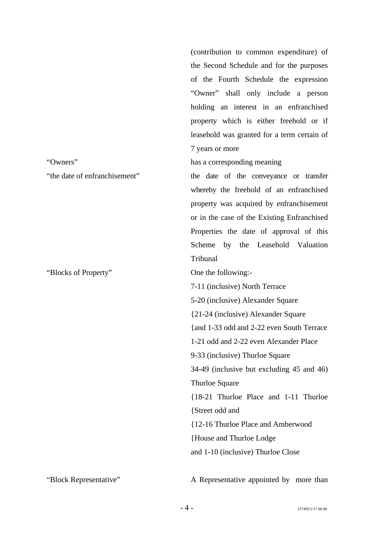|                               | (contribution to common expenditure) of     |
|-------------------------------|---------------------------------------------|
|                               | the Second Schedule and for the purposes    |
|                               | of the Fourth Schedule the expression       |
|                               | "Owner" shall only include a person         |
|                               | holding an interest in an enfranchised      |
|                               | property which is either freehold or if     |
|                               | leasehold was granted for a term certain of |
|                               | 7 years or more                             |
| "Owners"                      | has a corresponding meaning                 |
| "the date of enfranchisement" | the date of the conveyance or transfer      |
|                               | whereby the freehold of an enfranchised     |
|                               | property was acquired by enfranchisement    |
|                               | or in the case of the Existing Enfranchised |
|                               | Properties the date of approval of this     |
|                               | Scheme by the Leasehold Valuation           |
|                               | Tribunal                                    |
| "Blocks of Property"          | One the following:-                         |
|                               | 7-11 (inclusive) North Terrace              |
|                               | 5-20 (inclusive) Alexander Square           |
|                               | {21-24 (inclusive) Alexander Square         |
|                               | {and 1-33 odd and 2-22 even South Terrace   |
|                               | 1-21 odd and 2-22 even Alexander Place      |
|                               | 9-33 (inclusive) Thurloe Square             |
|                               | 34-49 (inclusive but excluding 45 and 46)   |
|                               | Thurloe Square                              |
|                               | {18-21 Thurloe Place and 1-11 Thurloe       |
|                               | {Street odd and                             |
|                               | {12-16 Thurloe Place and Amberwood          |
|                               | House and Thurloe Lodge                     |
|                               | and 1-10 (inclusive) Thurloe Close          |
|                               |                                             |

"Block Representative" A Representative appointed by more than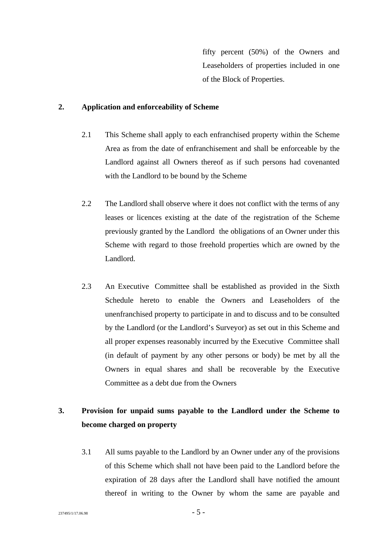fifty percent (50%) of the Owners and Leaseholders of properties included in one of the Block of Properties.

### **2. Application and enforceability of Scheme**

- 2.1 This Scheme shall apply to each enfranchised property within the Scheme Area as from the date of enfranchisement and shall be enforceable by the Landlord against all Owners thereof as if such persons had covenanted with the Landlord to be bound by the Scheme
- 2.2 The Landlord shall observe where it does not conflict with the terms of any leases or licences existing at the date of the registration of the Scheme previously granted by the Landlord the obligations of an Owner under this Scheme with regard to those freehold properties which are owned by the Landlord.
- 2.3 An Executive Committee shall be established as provided in the Sixth Schedule hereto to enable the Owners and Leaseholders of the unenfranchised property to participate in and to discuss and to be consulted by the Landlord (or the Landlord's Surveyor) as set out in this Scheme and all proper expenses reasonably incurred by the Executive Committee shall (in default of payment by any other persons or body) be met by all the Owners in equal shares and shall be recoverable by the Executive Committee as a debt due from the Owners

### **3. Provision for unpaid sums payable to the Landlord under the Scheme to become charged on property**

3.1 All sums payable to the Landlord by an Owner under any of the provisions of this Scheme which shall not have been paid to the Landlord before the expiration of 28 days after the Landlord shall have notified the amount thereof in writing to the Owner by whom the same are payable and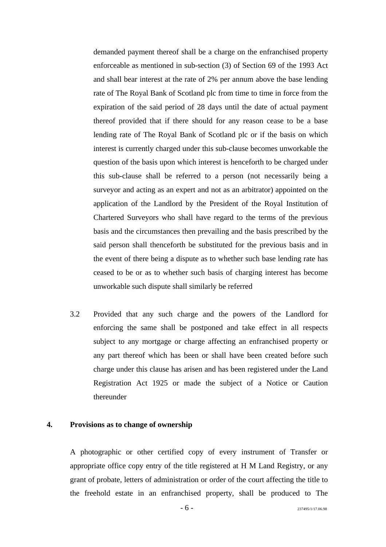demanded payment thereof shall be a charge on the enfranchised property enforceable as mentioned in sub-section (3) of Section 69 of the 1993 Act and shall bear interest at the rate of 2% per annum above the base lending rate of The Royal Bank of Scotland plc from time to time in force from the expiration of the said period of 28 days until the date of actual payment thereof provided that if there should for any reason cease to be a base lending rate of The Royal Bank of Scotland plc or if the basis on which interest is currently charged under this sub-clause becomes unworkable the question of the basis upon which interest is henceforth to be charged under this sub-clause shall be referred to a person (not necessarily being a surveyor and acting as an expert and not as an arbitrator) appointed on the application of the Landlord by the President of the Royal Institution of Chartered Surveyors who shall have regard to the terms of the previous basis and the circumstances then prevailing and the basis prescribed by the said person shall thenceforth be substituted for the previous basis and in the event of there being a dispute as to whether such base lending rate has ceased to be or as to whether such basis of charging interest has become unworkable such dispute shall similarly be referred

3.2 Provided that any such charge and the powers of the Landlord for enforcing the same shall be postponed and take effect in all respects subject to any mortgage or charge affecting an enfranchised property or any part thereof which has been or shall have been created before such charge under this clause has arisen and has been registered under the Land Registration Act 1925 or made the subject of a Notice or Caution thereunder

#### **4. Provisions as to change of ownership**

A photographic or other certified copy of every instrument of Transfer or appropriate office copy entry of the title registered at H M Land Registry, or any grant of probate, letters of administration or order of the court affecting the title to the freehold estate in an enfranchised property, shall be produced to The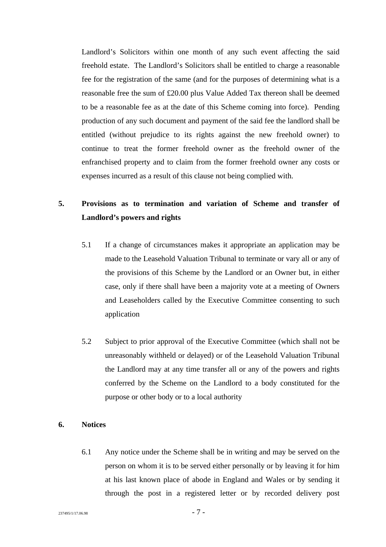Landlord's Solicitors within one month of any such event affecting the said freehold estate. The Landlord's Solicitors shall be entitled to charge a reasonable fee for the registration of the same (and for the purposes of determining what is a reasonable free the sum of £20.00 plus Value Added Tax thereon shall be deemed to be a reasonable fee as at the date of this Scheme coming into force). Pending production of any such document and payment of the said fee the landlord shall be entitled (without prejudice to its rights against the new freehold owner) to continue to treat the former freehold owner as the freehold owner of the enfranchised property and to claim from the former freehold owner any costs or expenses incurred as a result of this clause not being complied with.

### **5. Provisions as to termination and variation of Scheme and transfer of Landlord's powers and rights**

- 5.1 If a change of circumstances makes it appropriate an application may be made to the Leasehold Valuation Tribunal to terminate or vary all or any of the provisions of this Scheme by the Landlord or an Owner but, in either case, only if there shall have been a majority vote at a meeting of Owners and Leaseholders called by the Executive Committee consenting to such application
- 5.2 Subject to prior approval of the Executive Committee (which shall not be unreasonably withheld or delayed) or of the Leasehold Valuation Tribunal the Landlord may at any time transfer all or any of the powers and rights conferred by the Scheme on the Landlord to a body constituted for the purpose or other body or to a local authority

### **6. Notices**

6.1 Any notice under the Scheme shall be in writing and may be served on the person on whom it is to be served either personally or by leaving it for him at his last known place of abode in England and Wales or by sending it through the post in a registered letter or by recorded delivery post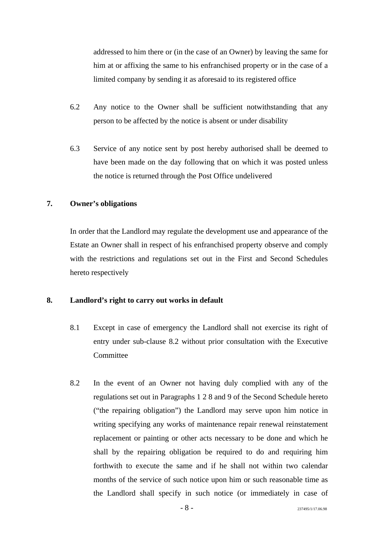addressed to him there or (in the case of an Owner) by leaving the same for him at or affixing the same to his enfranchised property or in the case of a limited company by sending it as aforesaid to its registered office

- 6.2 Any notice to the Owner shall be sufficient notwithstanding that any person to be affected by the notice is absent or under disability
- 6.3 Service of any notice sent by post hereby authorised shall be deemed to have been made on the day following that on which it was posted unless the notice is returned through the Post Office undelivered

### **7. Owner's obligations**

In order that the Landlord may regulate the development use and appearance of the Estate an Owner shall in respect of his enfranchised property observe and comply with the restrictions and regulations set out in the First and Second Schedules hereto respectively

#### **8. Landlord's right to carry out works in default**

- 8.1 Except in case of emergency the Landlord shall not exercise its right of entry under sub-clause 8.2 without prior consultation with the Executive **Committee**
- 8.2 In the event of an Owner not having duly complied with any of the regulations set out in Paragraphs 1 2 8 and 9 of the Second Schedule hereto ("the repairing obligation") the Landlord may serve upon him notice in writing specifying any works of maintenance repair renewal reinstatement replacement or painting or other acts necessary to be done and which he shall by the repairing obligation be required to do and requiring him forthwith to execute the same and if he shall not within two calendar months of the service of such notice upon him or such reasonable time as the Landlord shall specify in such notice (or immediately in case of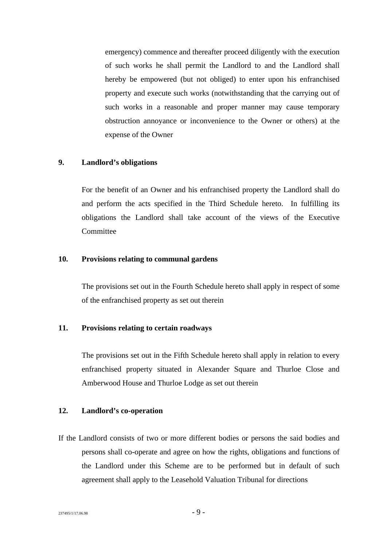emergency) commence and thereafter proceed diligently with the execution of such works he shall permit the Landlord to and the Landlord shall hereby be empowered (but not obliged) to enter upon his enfranchised property and execute such works (notwithstanding that the carrying out of such works in a reasonable and proper manner may cause temporary obstruction annoyance or inconvenience to the Owner or others) at the expense of the Owner

#### **9. Landlord's obligations**

For the benefit of an Owner and his enfranchised property the Landlord shall do and perform the acts specified in the Third Schedule hereto.In fulfilling its obligations the Landlord shall take account of the views of the Executive Committee

#### **10. Provisions relating to communal gardens**

The provisions set out in the Fourth Schedule hereto shall apply in respect of some of the enfranchised property as set out therein

#### **11. Provisions relating to certain roadways**

The provisions set out in the Fifth Schedule hereto shall apply in relation to every enfranchised property situated in Alexander Square and Thurloe Close and Amberwood House and Thurloe Lodge as set out therein

#### **12. Landlord's co-operation**

If the Landlord consists of two or more different bodies or persons the said bodies and persons shall co-operate and agree on how the rights, obligations and functions of the Landlord under this Scheme are to be performed but in default of such agreement shall apply to the Leasehold Valuation Tribunal for directions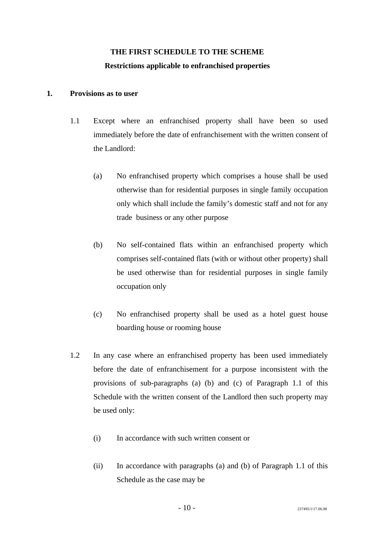### **THE FIRST SCHEDULE TO THE SCHEME Restrictions applicable to enfranchised properties**

### **1. Provisions as to user**

- 1.1 Except where an enfranchised property shall have been so used immediately before the date of enfranchisement with the written consent of the Landlord:
	- (a) No enfranchised property which comprises a house shall be used otherwise than for residential purposes in single family occupation only which shall include the family's domestic staff and not for any trade business or any other purpose
	- (b) No self-contained flats within an enfranchised property which comprises self-contained flats (with or without other property) shall be used otherwise than for residential purposes in single family occupation only
	- (c) No enfranchised property shall be used as a hotel guest house boarding house or rooming house
- 1.2 In any case where an enfranchised property has been used immediately before the date of enfranchisement for a purpose inconsistent with the provisions of sub-paragraphs (a) (b) and (c) of Paragraph 1.1 of this Schedule with the written consent of the Landlord then such property may be used only:
	- (i) In accordance with such written consent or
	- (ii) In accordance with paragraphs (a) and (b) of Paragraph 1.1 of this Schedule as the case may be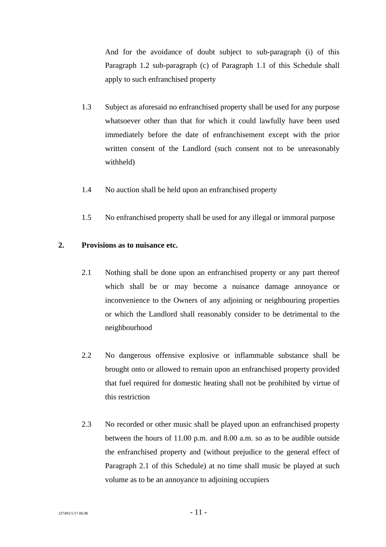And for the avoidance of doubt subject to sub-paragraph (i) of this Paragraph 1.2 sub-paragraph (c) of Paragraph 1.1 of this Schedule shall apply to such enfranchised property

- 1.3 Subject as aforesaid no enfranchised property shall be used for any purpose whatsoever other than that for which it could lawfully have been used immediately before the date of enfranchisement except with the prior written consent of the Landlord (such consent not to be unreasonably withheld)
- 1.4 No auction shall be held upon an enfranchised property
- 1.5 No enfranchised property shall be used for any illegal or immoral purpose

### **2. Provisions as to nuisance etc.**

- 2.1 Nothing shall be done upon an enfranchised property or any part thereof which shall be or may become a nuisance damage annoyance or inconvenience to the Owners of any adjoining or neighbouring properties or which the Landlord shall reasonably consider to be detrimental to the neighbourhood
- 2.2 No dangerous offensive explosive or inflammable substance shall be brought onto or allowed to remain upon an enfranchised property provided that fuel required for domestic heating shall not be prohibited by virtue of this restriction
- 2.3 No recorded or other music shall be played upon an enfranchised property between the hours of 11.00 p.m. and 8.00 a.m. so as to be audible outside the enfranchised property and (without prejudice to the general effect of Paragraph 2.1 of this Schedule) at no time shall music be played at such volume as to be an annoyance to adjoining occupiers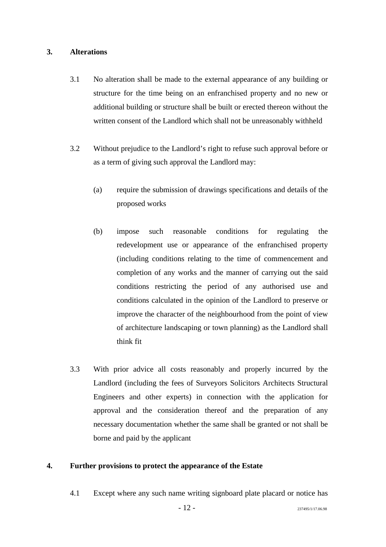### **3. Alterations**

- 3.1 No alteration shall be made to the external appearance of any building or structure for the time being on an enfranchised property and no new or additional building or structure shall be built or erected thereon without the written consent of the Landlord which shall not be unreasonably withheld
- 3.2 Without prejudice to the Landlord's right to refuse such approval before or as a term of giving such approval the Landlord may:
	- (a) require the submission of drawings specifications and details of the proposed works
	- (b) impose such reasonable conditions for regulating the redevelopment use or appearance of the enfranchised property (including conditions relating to the time of commencement and completion of any works and the manner of carrying out the said conditions restricting the period of any authorised use and conditions calculated in the opinion of the Landlord to preserve or improve the character of the neighbourhood from the point of view of architecture landscaping or town planning) as the Landlord shall think fit
- 3.3 With prior advice all costs reasonably and properly incurred by the Landlord (including the fees of Surveyors Solicitors Architects Structural Engineers and other experts) in connection with the application for approval and the consideration thereof and the preparation of any necessary documentation whether the same shall be granted or not shall be borne and paid by the applicant

### **4. Further provisions to protect the appearance of the Estate**

4.1 Except where any such name writing signboard plate placard or notice has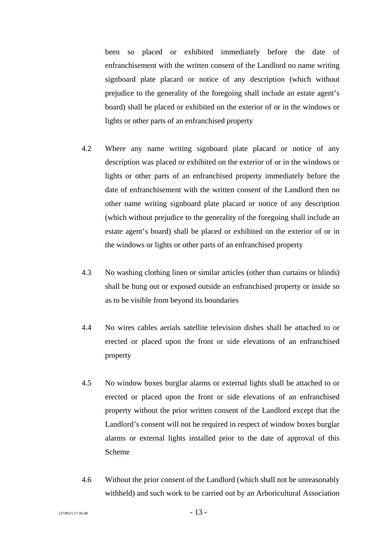been so placed or exhibited immediately before the date of enfranchisement with the written consent of the Landlord no name writing signboard plate placard or notice of any description (which without prejudice to the generality of the foregoing shall include an estate agent's board) shall be placed or exhibited on the exterior of or in the windows or lights or other parts of an enfranchised property

- 4.2 Where any name writing signboard plate placard or notice of any description was placed or exhibited on the exterior of or in the windows or lights or other parts of an enfranchised property immediately before the date of enfranchisement with the written consent of the Landlord then no other name writing signboard plate placard or notice of any description (which without prejudice to the generality of the foregoing shall include an estate agent's board) shall be placed or exhibited on the exterior of or in the windows or lights or other parts of an enfranchised property
- 4.3 No washing clothing linen or similar articles (other than curtains or blinds) shall be hung out or exposed outside an enfranchised property or inside so as to be visible from beyond its boundaries
- 4.4 No wires cables aerials satellite television dishes shall be attached to or erected or placed upon the front or side elevations of an enfranchised property
- 4.5 No window boxes burglar alarms or external lights shall be attached to or erected or placed upon the front or side elevations of an enfranchised property without the prior written consent of the Landlord except that the Landlord's consent will not be required in respect of window boxes burglar alarms or external lights installed prior to the date of approval of this Scheme
- 4.6 Without the prior consent of the Landlord (which shall not be unreasonably withheld) and such work to be carried out by an Arboricultural Association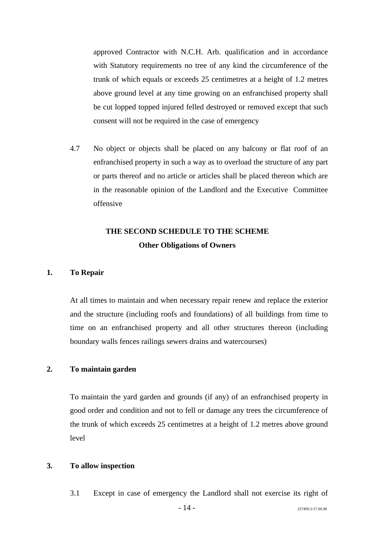approved Contractor with N.C.H. Arb. qualification and in accordance with Statutory requirements no tree of any kind the circumference of the trunk of which equals or exceeds 25 centimetres at a height of 1.2 metres above ground level at any time growing on an enfranchised property shall be cut lopped topped injured felled destroyed or removed except that such consent will not be required in the case of emergency

4.7 No object or objects shall be placed on any balcony or flat roof of an enfranchised property in such a way as to overload the structure of any part or parts thereof and no article or articles shall be placed thereon which are in the reasonable opinion of the Landlord and the Executive Committee offensive

### **THE SECOND SCHEDULE TO THE SCHEME Other Obligations of Owners**

#### **1. To Repair**

At all times to maintain and when necessary repair renew and replace the exterior and the structure (including roofs and foundations) of all buildings from time to time on an enfranchised property and all other structures thereon (including boundary walls fences railings sewers drains and watercourses)

### **2. To maintain garden**

To maintain the yard garden and grounds (if any) of an enfranchised property in good order and condition and not to fell or damage any trees the circumference of the trunk of which exceeds 25 centimetres at a height of 1.2 metres above ground level

### **3. To allow inspection**

3.1 Except in case of emergency the Landlord shall not exercise its right of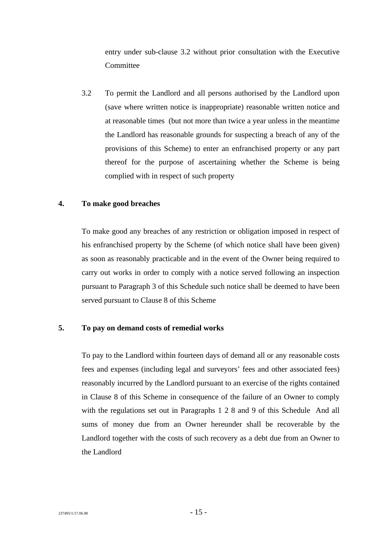entry under sub-clause 3.2 without prior consultation with the Executive Committee

3.2 To permit the Landlord and all persons authorised by the Landlord upon (save where written notice is inappropriate) reasonable written notice and at reasonable times (but not more than twice a year unless in the meantime the Landlord has reasonable grounds for suspecting a breach of any of the provisions of this Scheme) to enter an enfranchised property or any part thereof for the purpose of ascertaining whether the Scheme is being complied with in respect of such property

### **4. To make good breaches**

To make good any breaches of any restriction or obligation imposed in respect of his enfranchised property by the Scheme (of which notice shall have been given) as soon as reasonably practicable and in the event of the Owner being required to carry out works in order to comply with a notice served following an inspection pursuant to Paragraph 3 of this Schedule such notice shall be deemed to have been served pursuant to Clause 8 of this Scheme

### **5. To pay on demand costs of remedial works**

To pay to the Landlord within fourteen days of demand all or any reasonable costs fees and expenses (including legal and surveyors' fees and other associated fees) reasonably incurred by the Landlord pursuant to an exercise of the rights contained in Clause 8 of this Scheme in consequence of the failure of an Owner to comply with the regulations set out in Paragraphs 1 2 8 and 9 of this Schedule And all sums of money due from an Owner hereunder shall be recoverable by the Landlord together with the costs of such recovery as a debt due from an Owner to the Landlord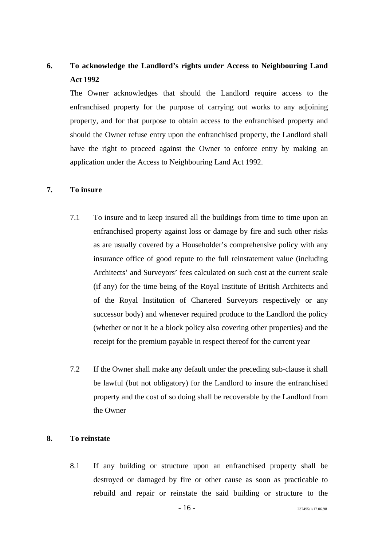### **6. To acknowledge the Landlord's rights under Access to Neighbouring Land Act 1992**

The Owner acknowledges that should the Landlord require access to the enfranchised property for the purpose of carrying out works to any adjoining property, and for that purpose to obtain access to the enfranchised property and should the Owner refuse entry upon the enfranchised property, the Landlord shall have the right to proceed against the Owner to enforce entry by making an application under the Access to Neighbouring Land Act 1992.

### **7. To insure**

- 7.1 To insure and to keep insured all the buildings from time to time upon an enfranchised property against loss or damage by fire and such other risks as are usually covered by a Householder's comprehensive policy with any insurance office of good repute to the full reinstatement value (including Architects' and Surveyors' fees calculated on such cost at the current scale (if any) for the time being of the Royal Institute of British Architects and of the Royal Institution of Chartered Surveyors respectively or any successor body) and whenever required produce to the Landlord the policy (whether or not it be a block policy also covering other properties) and the receipt for the premium payable in respect thereof for the current year
- 7.2 If the Owner shall make any default under the preceding sub-clause it shall be lawful (but not obligatory) for the Landlord to insure the enfranchised property and the cost of so doing shall be recoverable by the Landlord from the Owner

### **8. To reinstate**

8.1 If any building or structure upon an enfranchised property shall be destroyed or damaged by fire or other cause as soon as practicable to rebuild and repair or reinstate the said building or structure to the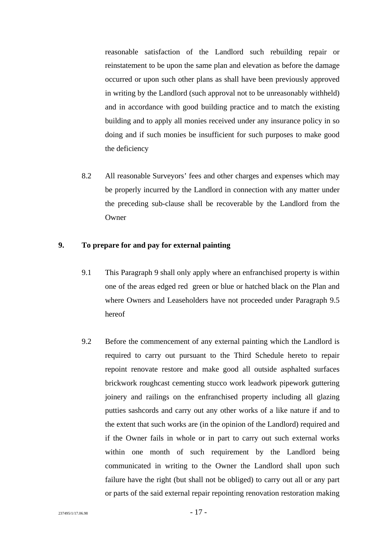<span id="page-18-0"></span>reasonable satisfaction of the Landlord such rebuilding repair or reinstatement to be upon the same plan and elevation as before the damage occurred or upon such other plans as shall have been previously approved in writing by the Landlord (such approval not to be unreasonably withheld) and in accordance with good building practice and to match the existing building and to apply all monies received under any insurance policy in so doing and if such monies be insufficient for such purposes to make good the deficiency

8.2 All reasonable Surveyors' fees and other charges and expenses which may be properly incurred by the Landlord in connection with any matter under the preceding sub-clause shall be recoverable by the Landlord from the **Owner** 

### **9. To prepare for and pay for external painting**

- 9.1 This Paragraph 9 shall only apply where an enfranchised property is within one of the areas edged red green or blue or hatched black on the Plan and [where Owners and Leaseholders have not](#page-19-0) proceeded under Paragraph 9.5 hereof
- 9.2 Before the commencement of any external painting which the Landlord is required to carry out pursuant to the Third Schedule hereto to repair repoint renovate restore and make good all outside asphalted surfaces brickwork roughcast cementing stucco work leadwork pipework guttering joinery and railings on the enfranchised property including all glazing putties sashcords and carry out any other works of a like nature if and to the extent that such works are (in the opinion of the Landlord) required and if the Owner fails in whole or in part to carry out such external works within one month of such requirement by the Landlord being communicated in writing to the Owner the Landlord shall upon such failure have the right (but shall not be obliged) to carry out all or any part or parts of the said external repair repointing renovation restoration making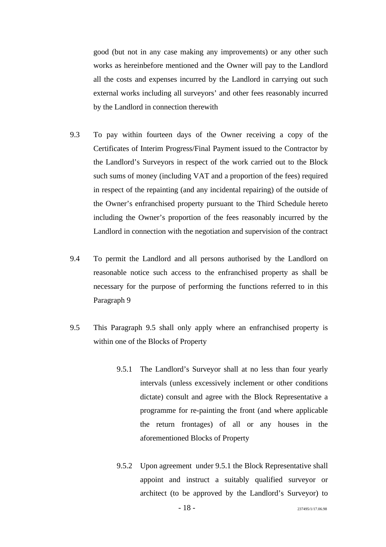<span id="page-19-0"></span>good (but not in any case making any improvements) or any other such works as hereinbefore mentioned and the Owner will pay to the Landlord all the costs and expenses incurred by the Landlord in carrying out such external works including all surveyors' and other fees reasonably incurred by the Landlord in connection therewith

- 9.3 To pay within fourteen days of the Owner receiving a copy of the Certificates of Interim Progress/Final Payment issued to the Contractor by the Landlord's Surveyors in respect of the work carried out to the Block such sums of money (including VAT and a proportion of the fees) required in respect of the repainting (and any incidental repairing) of the outside of the Owner's enfranchised property pursuant to the Third Schedule hereto including the Owner's proportion of the fees reasonably incurred by the Landlord in connection with the negotiation and supervision of the contract
- 9.4 To permit the Landlord and all persons authorised by the Landlord on reasonable notice such access to the enfranchised property as shall be necessary for the purpose of performing the functions referred to in this Paragraph 9
- 9.5 This Paragraph 9.5 shall only apply where an enfranchised property is within one of the Blocks of Property
	- 9.5.1 The Landlord's Surveyor shall at no less than four yearly intervals (unless excessively inclement or other conditions dictate) consult and agree with the Block Representative a programme for re-painting the front (and where applicable the return frontages) of all or any houses in the aforementioned Blocks of Property
	- 9.5.2 Upon agreement under 9.5.1 the Block Representative shall appoint and instruct a suitably qualified surveyor or architect (to be approved by the Landlord's Surveyor) to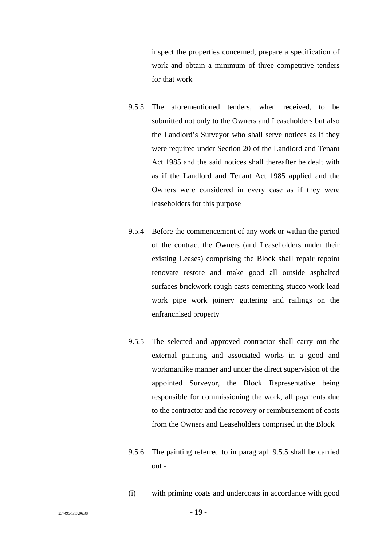inspect the properties concerned, prepare a specification of work and obtain a minimum of three competitive tenders for that work

- 9.5.3 The aforementioned tenders, when received, to be submitted not only to the Owners and Leaseholders but also the Landlord's Surveyor who shall serve notices as if they were required under Section 20 of the Landlord and Tenant Act 1985 and the said notices shall thereafter be dealt with as if the Landlord and Tenant Act 1985 applied and the Owners were considered in every case as if they were leaseholders for this purpose
- 9.5.4 Before the commencement of any work or within the period of the contract the Owners (and Leaseholders under their existing Leases) comprising the Block shall repair repoint renovate restore and make good all outside asphalted surfaces brickwork rough casts cementing stucco work lead work pipe work joinery guttering and railings on the enfranchised property
- 9.5.5 The selected and approved contractor shall carry out the external painting and associated works in a good and workmanlike manner and under the direct supervision of the appointed Surveyor, the Block Representative being responsible for commissioning the work, all payments due to the contractor and the recovery or reimbursement of costs from the Owners and Leaseholders comprised in the Block
- 9.5.6 The painting referred to in paragraph 9.5.5 shall be carried out -
- (i) with priming coats and undercoats in accordance with good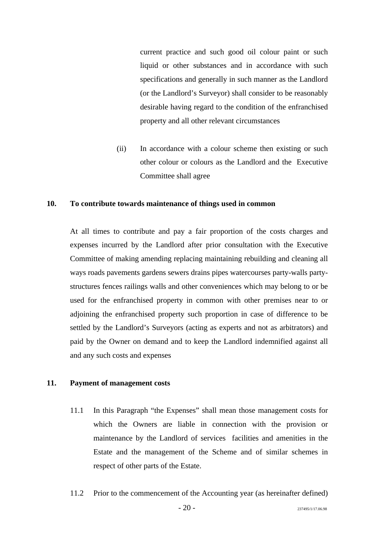current practice and such good oil colour paint or such liquid or other substances and in accordance with such specifications and generally in such manner as the Landlord (or the Landlord's Surveyor) shall consider to be reasonably desirable having regard to the condition of the enfranchised property and all other relevant circumstances

(ii) In accordance with a colour scheme then existing or such other colour or colours as the Landlord and the Executive Committee shall agree

### **10. To contribute towards maintenance of things used in common**

At all times to contribute and pay a fair proportion of the costs charges and expenses incurred by the Landlord after prior consultation with the Executive Committee of making amending replacing maintaining rebuilding and cleaning all ways roads pavements gardens sewers drains pipes watercourses party-walls partystructures fences railings walls and other conveniences which may belong to or be used for the enfranchised property in common with other premises near to or adjoining the enfranchised property such proportion in case of difference to be settled by the Landlord's Surveyors (acting as experts and not as arbitrators) and paid by the Owner on demand and to keep the Landlord indemnified against all and any such costs and expenses

#### **11. Payment of management costs**

- 11.1 In this Paragraph "the Expenses" shall mean those management costs for which the Owners are liable in connection with the provision or maintenance by the Landlord of services facilities and amenities in the Estate and the management of the Scheme and of similar schemes in respect of other parts of the Estate.
- 11.2 Prior to the commencement of the Accounting year (as hereinafter defined)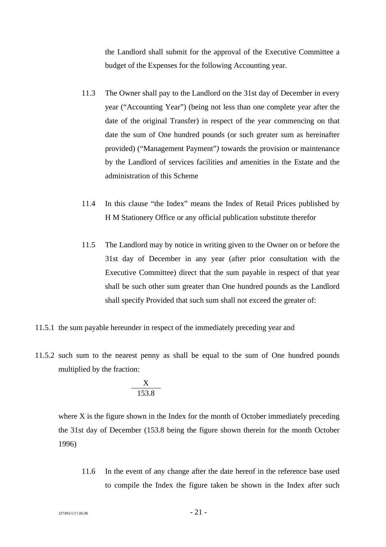the Landlord shall submit for the approval of the Executive Committee a budget of the Expenses for the following Accounting year.

- 11.3 The Owner shall pay to the Landlord on the 31st day of December in every year ("Accounting Year") (being not less than one complete year after the date of the original Transfer) in respect of the year commencing on that date the sum of One hundred pounds (or such greater sum as hereinafter provided) ("Management Payment"*)* towards the provision or maintenance by the Landlord of services facilities and amenities in the Estate and the administration of this Scheme
- 11.4 In this clause "the Index" means the Index of Retail Prices published by H M Stationery Office or any official publication substitute therefor
- 11.5 The Landlord may by notice in writing given to the Owner on or before the 31st day of December in any year (after prior consultation with the Executive Committee) direct that the sum payable in respect of that year shall be such other sum greater than One hundred pounds as the Landlord shall specify Provided that such sum shall not exceed the greater of:
- 11.5.1 the sum payable hereunder in respect of the immediately preceding year and
- 11.5.2 such sum to the nearest penny as shall be equal to the sum of One hundred pounds multiplied by the fraction:

$$
\frac{X}{153.8}
$$

where X is the figure shown in the Index for the month of October immediately preceding the 31st day of December (153.8 being the figure shown therein for the month October 1996)

11.6 In the event of any change after the date hereof in the reference base used to compile the Index the figure taken be shown in the Index after such

 $237495/1/17.06.98$  -  $21$  -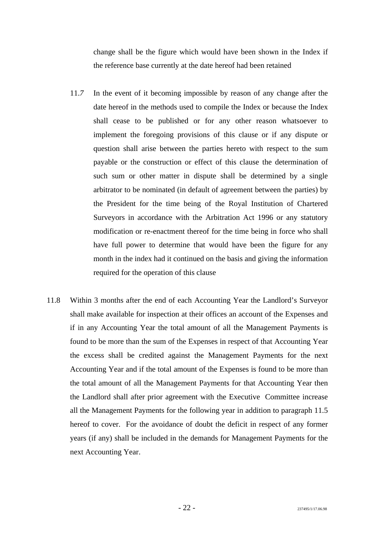change shall be the figure which would have been shown in the Index if the reference base currently at the date hereof had been retained

- 11.*7* In the event of it becoming impossible by reason of any change after the date hereof in the methods used to compile the Index or because the Index shall cease to be published or for any other reason whatsoever to implement the foregoing provisions of this clause or if any dispute or question shall arise between the parties hereto with respect to the sum payable or the construction or effect of this clause the determination of such sum or other matter in dispute shall be determined by a single arbitrator to be nominated (in default of agreement between the parties) by the President for the time being of the Royal Institution of Chartered Surveyors in accordance with the Arbitration Act 1996 or any statutory modification or re-enactment thereof for the time being in force who shall have full power to determine that would have been the figure for any month in the index had it continued on the basis and giving the information required for the operation of this clause
- 11.8 Within 3 months after the end of each Accounting Year the Landlord's Surveyor shall make available for inspection at their offices an account of the Expenses and if in any Accounting Year the total amount of all the Management Payments is found to be more than the sum of the Expenses in respect of that Accounting Year the excess shall be credited against the Management Payments for the next Accounting Year and if the total amount of the Expenses is found to be more than the total amount of all the Management Payments for that Accounting Year then the Landlord shall after prior agreement with the Executive Committee increase all the Management Payments for the following year in addition to paragraph 11.5 hereof to cover. For the avoidance of doubt the deficit in respect of any former years (if any) shall be included in the demands for Management Payments for the next Accounting Year.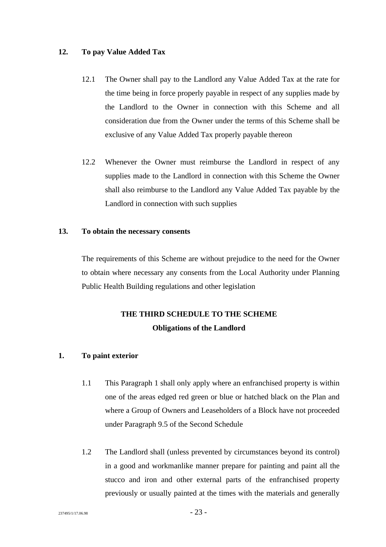### **12. To pay Value Added Tax**

- 12.1 The Owner shall pay to the Landlord any Value Added Tax at the rate for the time being in force properly payable in respect of any supplies made by the Landlord to the Owner in connection with this Scheme and all consideration due from the Owner under the terms of this Scheme shall be exclusive of any Value Added Tax properly payable thereon
- 12.2 Whenever the Owner must reimburse the Landlord in respect of any supplies made to the Landlord in connection with this Scheme the Owner shall also reimburse to the Landlord any Value Added Tax payable by the Landlord in connection with such supplies

### **13. To obtain the necessary consents**

The requirements of this Scheme are without prejudice to the need for the Owner to obtain where necessary any consents from the Local Authority under Planning Public Health Building regulations and other legislation

### **THE THIRD SCHEDULE TO THE SCHEME Obligations of the Landlord**

### **1. To paint exterior**

- 1.1 This Paragraph 1 shall only apply where an enfranchised property is within one of the areas edged red green or blue or hatched black on the Plan and where a Group of Owners and Leaseholders of a Block have not proceeded unde[r Paragraph 9.5 of the Second Schedule](#page-18-0)
- 1.2 The Landlord shall (unless prevented by circumstances beyond its control) in a good and workmanlike manner prepare for painting and paint all the stucco and iron and other external parts of the enfranchised property previously or usually painted at the times with the materials and generally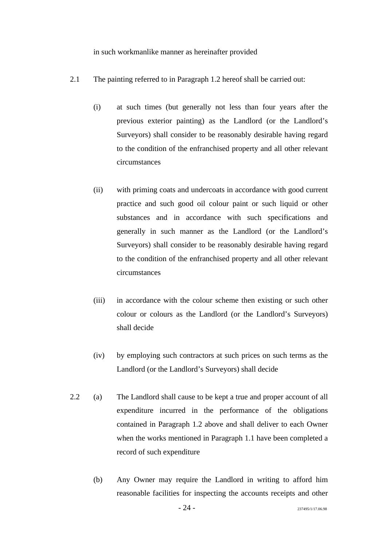in such workmanlike manner as hereinafter provided

- 2.1 The painting referred to in Paragraph 1.2 hereof shall be carried out:
	- (i) at such times (but generally not less than four years after the previous exterior painting) as the Landlord (or the Landlord's Surveyors) shall consider to be reasonably desirable having regard to the condition of the enfranchised property and all other relevant circumstances
	- (ii) with priming coats and undercoats in accordance with good current practice and such good oil colour paint or such liquid or other substances and in accordance with such specifications and generally in such manner as the Landlord (or the Landlord's Surveyors) shall consider to be reasonably desirable having regard to the condition of the enfranchised property and all other relevant circumstances
	- (iii) in accordance with the colour scheme then existing or such other colour or colours as the Landlord (or the Landlord's Surveyors) shall decide
	- (iv) by employing such contractors at such prices on such terms as the Landlord (or the Landlord's Surveyors) shall decide
- 2.2 (a) The Landlord shall cause to be kept a true and proper account of all expenditure incurred in the performance of the obligations contained in Paragraph 1.2 above and shall deliver to each Owner when the works mentioned in Paragraph 1.1 have been completed a record of such expenditure
	- (b) Any Owner may require the Landlord in writing to afford him reasonable facilities for inspecting the accounts receipts and other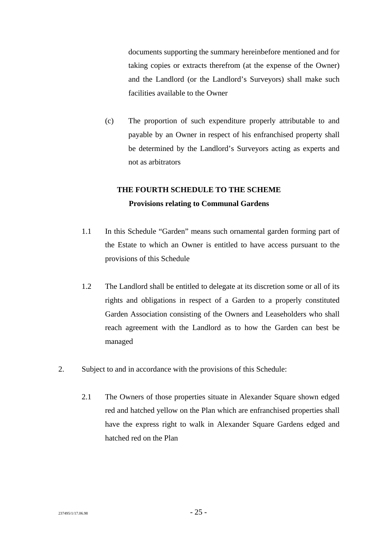documents supporting the summary hereinbefore mentioned and for taking copies or extracts therefrom (at the expense of the Owner) and the Landlord (or the Landlord's Surveyors) shall make such facilities available to the Owner

(c) The proportion of such expenditure properly attributable to and payable by an Owner in respect of his enfranchised property shall be determined by the Landlord's Surveyors acting as experts and not as arbitrators

### **THE FOURTH SCHEDULE TO THE SCHEME Provisions relating to Communal Gardens**

- 1.1 In this Schedule "Garden" means such ornamental garden forming part of the Estate to which an Owner is entitled to have access pursuant to the provisions of this Schedule
- 1.2 The Landlord shall be entitled to delegate at its discretion some or all of its rights and obligations in respect of a Garden to a properly constituted Garden Association consisting of the Owners and Leaseholders who shall reach agreement with the Landlord as to how the Garden can best be managed
- 2. Subject to and in accordance with the provisions of this Schedule:
	- 2.1 The Owners of those properties situate in Alexander Square shown edged red and hatched yellow on the Plan which are enfranchised properties shall have the express right to walk in Alexander Square Gardens edged and hatched red on the Plan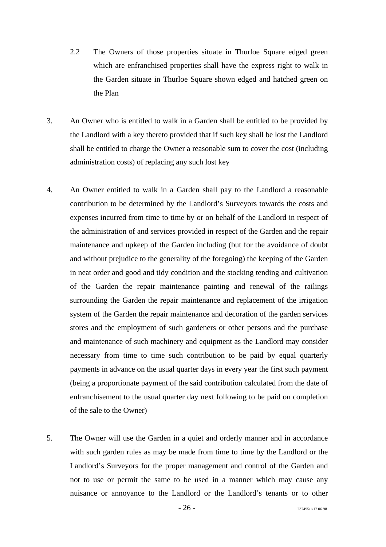- 2.2 The Owners of those properties situate in Thurloe Square edged green which are enfranchised properties shall have the express right to walk in the Garden situate in Thurloe Square shown edged and hatched green on the Plan
- 3. An Owner who is entitled to walk in a Garden shall be entitled to be provided by the Landlord with a key thereto provided that if such key shall be lost the Landlord shall be entitled to charge the Owner a reasonable sum to cover the cost (including administration costs) of replacing any such lost key
- 4. An Owner entitled to walk in a Garden shall pay to the Landlord a reasonable contribution to be determined by the Landlord's Surveyors towards the costs and expenses incurred from time to time by or on behalf of the Landlord in respect of the administration of and services provided in respect of the Garden and the repair maintenance and upkeep of the Garden including (but for the avoidance of doubt and without prejudice to the generality of the foregoing) the keeping of the Garden in neat order and good and tidy condition and the stocking tending and cultivation of the Garden the repair maintenance painting and renewal of the railings surrounding the Garden the repair maintenance and replacement of the irrigation system of the Garden the repair maintenance and decoration of the garden services stores and the employment of such gardeners or other persons and the purchase and maintenance of such machinery and equipment as the Landlord may consider necessary from time to time such contribution to be paid by equal quarterly payments in advance on the usual quarter days in every year the first such payment (being a proportionate payment of the said contribution calculated from the date of enfranchisement to the usual quarter day next following to be paid on completion of the sale to the Owner)
- 5. The Owner will use the Garden in a quiet and orderly manner and in accordance with such garden rules as may be made from time to time by the Landlord or the Landlord's Surveyors for the proper management and control of the Garden and not to use or permit the same to be used in a manner which may cause any nuisance or annoyance to the Landlord or the Landlord's tenants or to other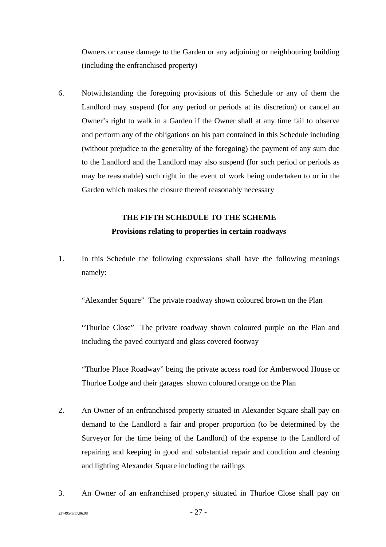Owners or cause damage to the Garden or any adjoining or neighbouring building (including the enfranchised property)

6. Notwithstanding the foregoing provisions of this Schedule or any of them the Landlord may suspend (for any period or periods at its discretion) or cancel an Owner's right to walk in a Garden if the Owner shall at any time fail to observe and perform any of the obligations on his part contained in this Schedule including (without prejudice to the generality of the foregoing) the payment of any sum due to the Landlord and the Landlord may also suspend (for such period or periods as may be reasonable) such right in the event of work being undertaken to or in the Garden which makes the closure thereof reasonably necessary

### **THE FIFTH SCHEDULE TO THE SCHEME Provisions relating to properties in certain roadways**

1. In this Schedule the following expressions shall have the following meanings namely:

"Alexander Square" The private roadway shown coloured brown on the Plan

"Thurloe Close" The private roadway shown coloured purple on the Plan and including the paved courtyard and glass covered footway

"Thurloe Place Roadway" being the private access road for Amberwood House or Thurloe Lodge and their garages shown coloured orange on the Plan

- 2. An Owner of an enfranchised property situated in Alexander Square shall pay on demand to the Landlord a fair and proper proportion (to be determined by the Surveyor for the time being of the Landlord) of the expense to the Landlord of repairing and keeping in good and substantial repair and condition and cleaning and lighting Alexander Square including the railings
- 3. An Owner of an enfranchised property situated in Thurloe Close shall pay on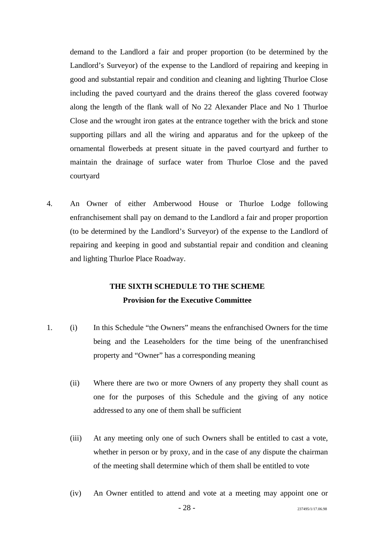demand to the Landlord a fair and proper proportion (to be determined by the Landlord's Surveyor) of the expense to the Landlord of repairing and keeping in good and substantial repair and condition and cleaning and lighting Thurloe Close including the paved courtyard and the drains thereof the glass covered footway along the length of the flank wall of No 22 Alexander Place and No 1 Thurloe Close and the wrought iron gates at the entrance together with the brick and stone supporting pillars and all the wiring and apparatus and for the upkeep of the ornamental flowerbeds at present situate in the paved courtyard and further to maintain the drainage of surface water from Thurloe Close and the paved courtyard

4. An Owner of either Amberwood House or Thurloe Lodge following enfranchisement shall pay on demand to the Landlord a fair and proper proportion (to be determined by the Landlord's Surveyor) of the expense to the Landlord of repairing and keeping in good and substantial repair and condition and cleaning and lighting Thurloe Place Roadway.

### **THE SIXTH SCHEDULE TO THE SCHEME Provision for the Executive Committee**

- 1. (i) In this Schedule "the Owners" means the enfranchised Owners for the time being and the Leaseholders for the time being of the unenfranchised property and "Owner" has a corresponding meaning
	- (ii) Where there are two or more Owners of any property they shall count as one for the purposes of this Schedule and the giving of any notice addressed to any one of them shall be sufficient
	- (iii) At any meeting only one of such Owners shall be entitled to cast a vote, whether in person or by proxy, and in the case of any dispute the chairman of the meeting shall determine which of them shall be entitled to vote
	- (iv) An Owner entitled to attend and vote at a meeting may appoint one or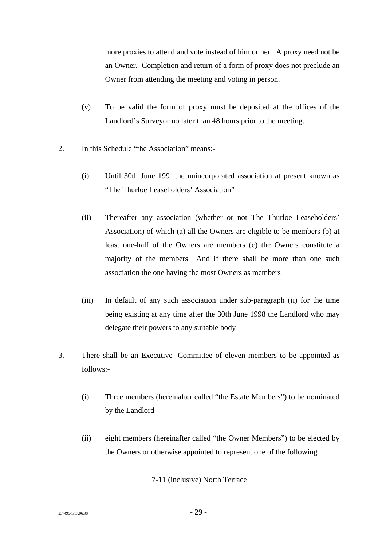more proxies to attend and vote instead of him or her. A proxy need not be an Owner. Completion and return of a form of proxy does not preclude an Owner from attending the meeting and voting in person.

- (v) To be valid the form of proxy must be deposited at the offices of the Landlord's Surveyor no later than 48 hours prior to the meeting.
- 2. In this Schedule "the Association" means:-
	- (i) Until 30th June 199 the unincorporated association at present known as "The Thurloe Leaseholders' Association"
	- (ii) Thereafter any association (whether or not The Thurloe Leaseholders' Association) of which (a) all the Owners are eligible to be members (b) at least one-half of the Owners are members (c) the Owners constitute a majority of the members And if there shall be more than one such association the one having the most Owners as members
	- (iii) In default of any such association under sub-paragraph (ii) for the time being existing at any time after the 30th June 1998 the Landlord who may delegate their powers to any suitable body
- 3. There shall be an Executive Committee of eleven members to be appointed as follows:-
	- (i) Three members (hereinafter called "the Estate Members") to be nominated by the Landlord
	- (ii) eight members (hereinafter called "the Owner Members") to be elected by the Owners or otherwise appointed to represent one of the following

7-11 (inclusive) North Terrace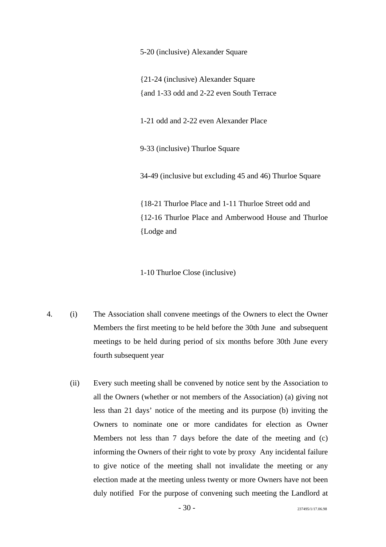5-20 (inclusive) Alexander Square

{21-24 (inclusive) Alexander Square {and 1-33 odd and 2-22 even South Terrace

1-21 odd and 2-22 even Alexander Place

9-33 (inclusive) Thurloe Square

34-49 (inclusive but excluding 45 and 46) Thurloe Square

{18-21 Thurloe Place and 1-11 Thurloe Street odd and {12-16 Thurloe Place and Amberwood House and Thurloe {Lodge and

1-10 Thurloe Close (inclusive)

- 4. (i) The Association shall convene meetings of the Owners to elect the Owner Members the first meeting to be held before the 30th June and subsequent meetings to be held during period of six months before 30th June every fourth subsequent year
	- (ii) Every such meeting shall be convened by notice sent by the Association to all the Owners (whether or not members of the Association) (a) giving not less than 21 days' notice of the meeting and its purpose (b) inviting the Owners to nominate one or more candidates for election as Owner Members not less than 7 days before the date of the meeting and (c) informing the Owners of their right to vote by proxy Any incidental failure to give notice of the meeting shall not invalidate the meeting or any election made at the meeting unless twenty or more Owners have not been duly notified For the purpose of convening such meeting the Landlord at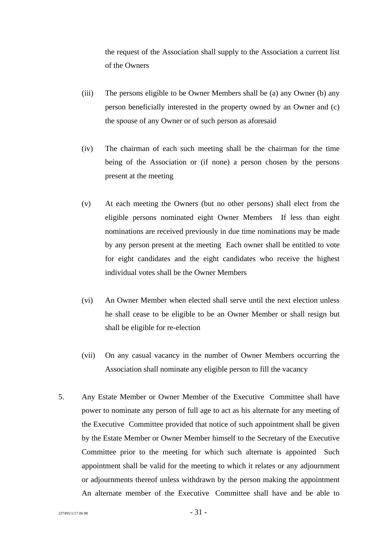the request of the Association shall supply to the Association a current list of the Owners

- (iii) The persons eligible to be Owner Members shall be (a) any Owner (b) any person beneficially interested in the property owned by an Owner and (c) the spouse of any Owner or of such person as aforesaid
- (iv) The chairman of each such meeting shall be the chairman for the time being of the Association or (if none) a person chosen by the persons present at the meeting
- (v) At each meeting the Owners (but no other persons) shall elect from the eligible persons nominated eight Owner Members If less than eight nominations are received previously in due time nominations may be made by any person present at the meeting Each owner shall be entitled to vote for eight candidates and the eight candidates who receive the highest individual votes shall be the Owner Members
- (vi) An Owner Member when elected shall serve until the next election unless he shall cease to be eligible to be an Owner Member or shall resign but shall be eligible for re-election
- (vii) On any casual vacancy in the number of Owner Members occurring the Association shall nominate any eligible person to fill the vacancy
- 5. Any Estate Member or Owner Member of the Executive Committee shall have power to nominate any person of full age to act as his alternate for any meeting of the Executive Committee provided that notice of such appointment shall be given by the Estate Member or Owner Member himself to the Secretary of the Executive Committee prior to the meeting for which such alternate is appointed Such appointment shall be valid for the meeting to which it relates or any adjournment or adjournments thereof unless withdrawn by the person making the appointment An alternate member of the Executive Committee shall have and be able to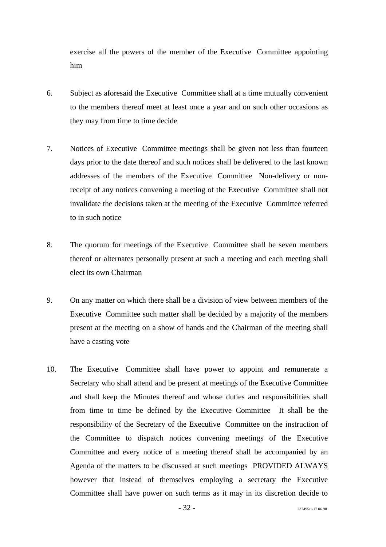exercise all the powers of the member of the Executive Committee appointing him

- 6. Subject as aforesaid the Executive Committee shall at a time mutually convenient to the members thereof meet at least once a year and on such other occasions as they may from time to time decide
- 7. Notices of Executive Committee meetings shall be given not less than fourteen days prior to the date thereof and such notices shall be delivered to the last known addresses of the members of the Executive Committee Non-delivery or nonreceipt of any notices convening a meeting of the Executive Committee shall not invalidate the decisions taken at the meeting of the Executive Committee referred to in such notice
- 8. The quorum for meetings of the Executive Committee shall be seven members thereof or alternates personally present at such a meeting and each meeting shall elect its own Chairman
- 9. On any matter on which there shall be a division of view between members of the Executive Committee such matter shall be decided by a majority of the members present at the meeting on a show of hands and the Chairman of the meeting shall have a casting vote
- 10. The Executive Committee shall have power to appoint and remunerate a Secretary who shall attend and be present at meetings of the Executive Committee and shall keep the Minutes thereof and whose duties and responsibilities shall from time to time be defined by the Executive Committee It shall be the responsibility of the Secretary of the Executive Committee on the instruction of the Committee to dispatch notices convening meetings of the Executive Committee and every notice of a meeting thereof shall be accompanied by an Agenda of the matters to be discussed at such meetings PROVIDED ALWAYS however that instead of themselves employing a secretary the Executive Committee shall have power on such terms as it may in its discretion decide to